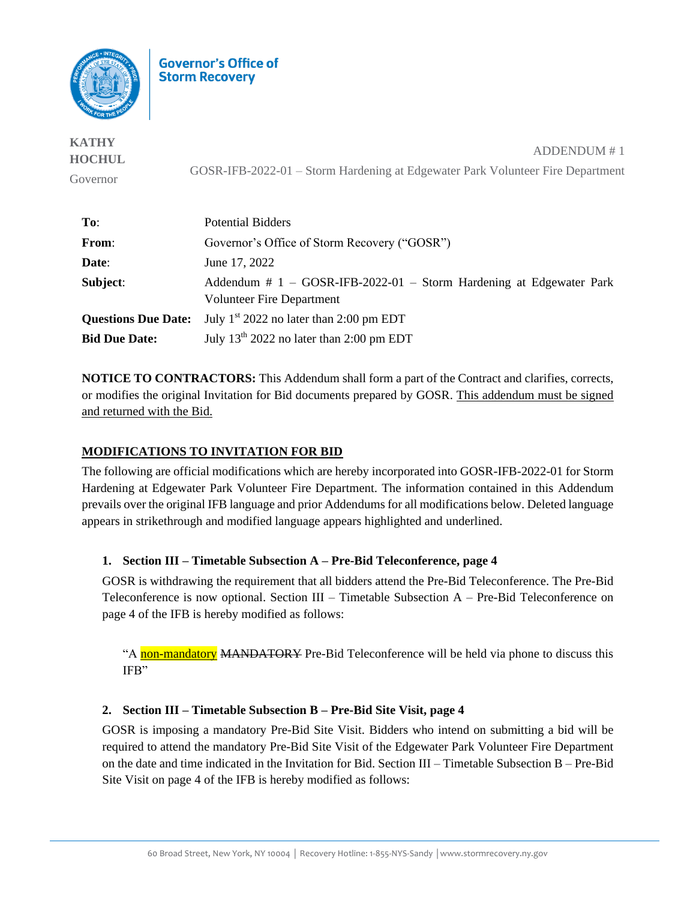

**Governor's Office of Storm Recoverv** 

**KATHY HOCHUL** Governor ADDENDUM # 1 GOSR-IFB-2022-01 – Storm Hardening at Edgewater Park Volunteer Fire Department

| To:                        | <b>Potential Bidders</b>                                                                           |
|----------------------------|----------------------------------------------------------------------------------------------------|
| From:                      | Governor's Office of Storm Recovery ("GOSR")                                                       |
| Date:                      | June 17, 2022                                                                                      |
| Subject:                   | Addendum $# 1 - GOSR-IFB-2022-01 - Storm Hardening$ at Edgewater Park<br>Volunteer Fire Department |
| <b>Questions Due Date:</b> | July 1 <sup>st</sup> 2022 no later than 2:00 pm EDT                                                |
| <b>Bid Due Date:</b>       | July $13th 2022$ no later than 2:00 pm EDT                                                         |

**NOTICE TO CONTRACTORS:** This Addendum shall form a part of the Contract and clarifies, corrects, or modifies the original Invitation for Bid documents prepared by GOSR. This addendum must be signed and returned with the Bid.

## **MODIFICATIONS TO INVITATION FOR BID**

The following are official modifications which are hereby incorporated into GOSR-IFB-2022-01 for Storm Hardening at Edgewater Park Volunteer Fire Department. The information contained in this Addendum prevails over the original IFB language and prior Addendums for all modifications below. Deleted language appears in strikethrough and modified language appears highlighted and underlined.

## **1. Section III – Timetable Subsection A – Pre-Bid Teleconference, page 4**

GOSR is withdrawing the requirement that all bidders attend the Pre-Bid Teleconference. The Pre-Bid Teleconference is now optional. Section III – Timetable Subsection A – Pre-Bid Teleconference on page 4 of the IFB is hereby modified as follows:

"A non-mandatory MANDATORY Pre-Bid Teleconference will be held via phone to discuss this IFB"

## **2. Section III – Timetable Subsection B – Pre-Bid Site Visit, page 4**

GOSR is imposing a mandatory Pre-Bid Site Visit. Bidders who intend on submitting a bid will be required to attend the mandatory Pre-Bid Site Visit of the Edgewater Park Volunteer Fire Department on the date and time indicated in the Invitation for Bid. Section III – Timetable Subsection B – Pre-Bid Site Visit on page 4 of the IFB is hereby modified as follows: